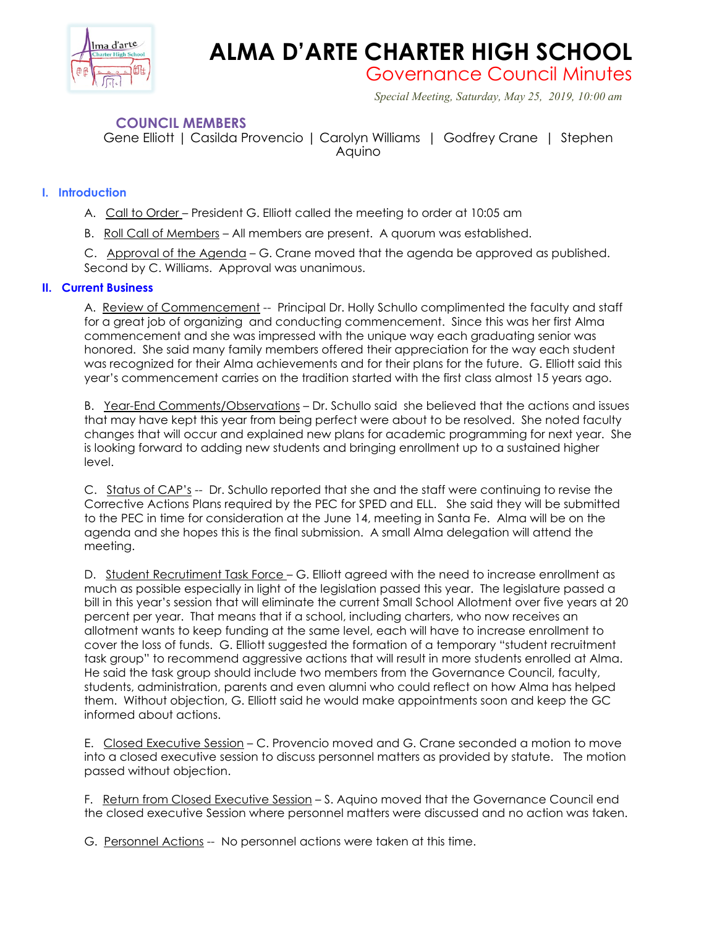

## **ALMA D'ARTE CHARTER HIGH SCHOOL**

Governance Council Minutes

 *Special Meeting, Saturday, May 25, 2019, 10:00 am*

## **COUNCIL MEMBERS**

Gene Elliott | Casilda Provencio | Carolyn Williams | Godfrey Crane | Stephen Aquino

## **I. Introduction**

A. Call to Order – President G. Elliott called the meeting to order at 10:05 am

B. Roll Call of Members – All members are present. A quorum was established.

C. Approval of the Agenda – G. Crane moved that the agenda be approved as published. Second by C. Williams. Approval was unanimous.

## **II. Current Business**

A. Review of Commencement -- Principal Dr. Holly Schullo complimented the faculty and staff for a great job of organizing and conducting commencement. Since this was her first Alma commencement and she was impressed with the unique way each graduating senior was honored. She said many family members offered their appreciation for the way each student was recognized for their Alma achievements and for their plans for the future. G. Elliott said this year's commencement carries on the tradition started with the first class almost 15 years ago.

B. Year-End Comments/Observations – Dr. Schullo said she believed that the actions and issues that may have kept this year from being perfect were about to be resolved. She noted faculty changes that will occur and explained new plans for academic programming for next year. She is looking forward to adding new students and bringing enrollment up to a sustained higher level.

C. Status of CAP's -- Dr. Schullo reported that she and the staff were continuing to revise the Corrective Actions Plans required by the PEC for SPED and ELL. She said they will be submitted to the PEC in time for consideration at the June 14, meeting in Santa Fe. Alma will be on the agenda and she hopes this is the final submission. A small Alma delegation will attend the meeting.

D. Student Recrutiment Task Force – G. Elliott agreed with the need to increase enrollment as much as possible especially in light of the legislation passed this year. The legislature passed a bill in this year's session that will eliminate the current Small School Allotment over five years at 20 percent per year. That means that if a school, including charters, who now receives an allotment wants to keep funding at the same level, each will have to increase enrollment to cover the loss of funds. G. Elliott suggested the formation of a temporary "student recruitment task group" to recommend aggressive actions that will result in more students enrolled at Alma. He said the task group should include two members from the Governance Council, faculty, students, administration, parents and even alumni who could reflect on how Alma has helped them. Without objection, G. Elliott said he would make appointments soon and keep the GC informed about actions.

E. Closed Executive Session – C. Provencio moved and G. Crane seconded a motion to move into a closed executive session to discuss personnel matters as provided by statute. The motion passed without objection.

F. Return from Closed Executive Session – S. Aquino moved that the Governance Council end the closed executive Session where personnel matters were discussed and no action was taken.

G. Personnel Actions -- No personnel actions were taken at this time.